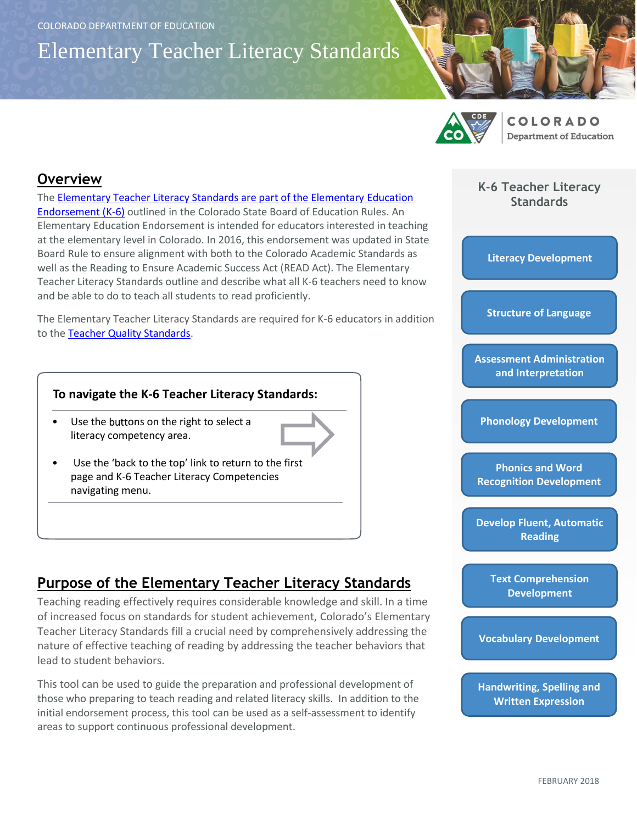Elementary Teacher Literacy Standards



**COLORADO Department of Education** 

#### **Overview**

The [Elementary Teacher Literacy Standards are part of the Elementary Education](https://www.cde.state.co.us/sites/default/files/docs/cdeprof/4.02%20Elementary%20rules%20%28301-101%29.pdf)  [Endorsement \(K-6\)](https://www.cde.state.co.us/sites/default/files/docs/cdeprof/4.02%20Elementary%20rules%20%28301-101%29.pdf) outlined in the Colorado State Board of Education Rules. An Elementary Education Endorsement is intended for educators interested in teaching at the elementary level in Colorado. In 2016, this endorsement was updated in State Board Rule to ensure alignment with both to the Colorado Academic Standards as well as the Reading to Ensure Academic Success Act (READ Act). The Elementary Teacher Literacy Standards outline and describe what all K-6 teachers need to know and be able to do to teach all students to read proficiently.

The Elementary Teacher Literacy Standards are required for K-6 educators in addition to the [Teacher Quality Standards.](https://www.cde.state.co.us/educatoreffectiveness/rev-resourceguide)

#### **To navigate the K-6 Teacher Literacy Standards:**

- Use the buttons on the right to select a literacy competency area.
- Use the 'back to the top' link to return to the first page and K-6 Teacher Literacy Competencies navigating menu.

## **Purpose of the Elementary Teacher Literacy Standards**

Teaching reading effectively requires considerable knowledge and skill. In a time of increased focus on standards for student achievement, Colorado's Elementary Teacher Literacy Standards fill a crucial need by comprehensively addressing the nature of effective teaching of reading by addressing the teacher behaviors that lead to student behaviors.

This tool can be used to guide the preparation and professional development of those who preparing to teach reading and related literacy skills. In addition to the initial endorsement process, this tool can be used as a self-assessment to identify areas to support continuous professional development.

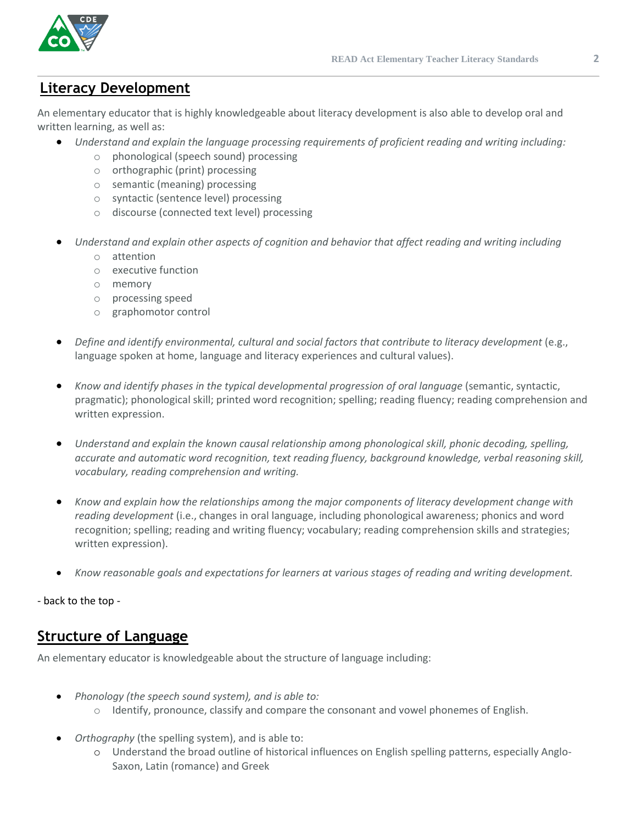

# **Literacy Development**

An elementary educator that is highly knowledgeable about literacy development is also able to develop oral and written learning, as well as:

- *Understand and explain the language processing requirements of proficient reading and writing including:*
	- o phonological (speech sound) processing
	- o orthographic (print) processing
	- o semantic (meaning) processing
	- o syntactic (sentence level) processing
	- o discourse (connected text level) processing
- *Understand and explain other aspects of cognition and behavior that affect reading and writing including*
	- o attention
	- o executive function
	- o memory
	- o processing speed
	- o graphomotor control
- *Define and identify environmental, cultural and social factors that contribute to literacy development* (e.g., language spoken at home, language and literacy experiences and cultural values).
- *Know and identify phases in the typical developmental progression of oral language* (semantic, syntactic, pragmatic); phonological skill; printed word recognition; spelling; reading fluency; reading comprehension and written expression.
- *Understand and explain the known causal relationship among phonological skill, phonic decoding, spelling, accurate and automatic word recognition, text reading fluency, background knowledge, verbal reasoning skill, vocabulary, reading comprehension and writing.*
- *Know and explain how the relationships among the major components of literacy development change with reading development* (i.e., changes in oral language, including phonological awareness; phonics and word recognition; spelling; reading and writing fluency; vocabulary; reading comprehension skills and strategies; written expression).
- *Know reasonable goals and expectations for learners at various stages of reading and writing development.*

- back to the top -

## **Structure of Language**

An elementary educator is knowledgeable about the structure of language including:

- *Phonology (the speech sound system), and is able to:*
	- $\circ$  Identify, pronounce, classify and compare the consonant and vowel phonemes of English.
- *Orthography* (the spelling system), and is able to:
	- o Understand the broad outline of historical influences on English spelling patterns, especially Anglo-Saxon, Latin (romance) and Greek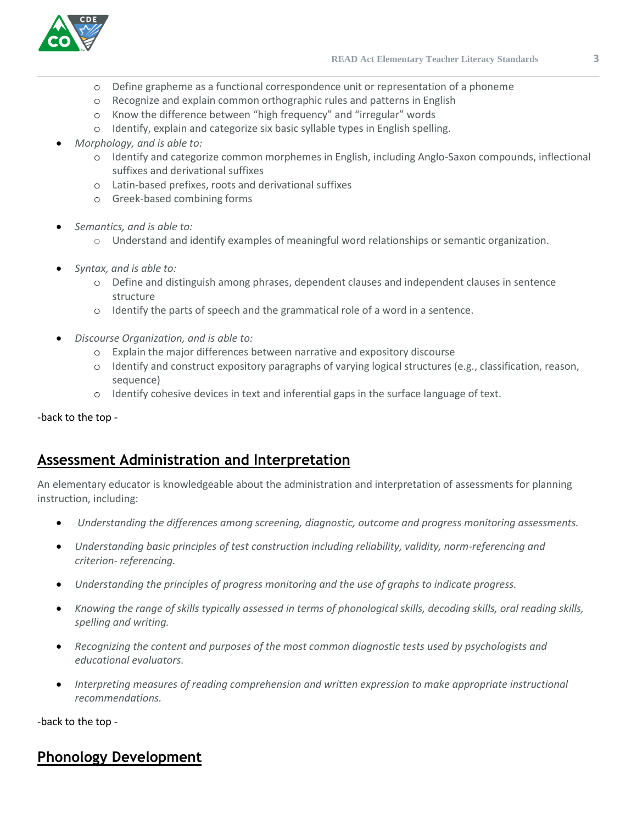

- o Define grapheme as a functional correspondence unit or representation of a phoneme
- o Recognize and explain common orthographic rules and patterns in English
- o Know the difference between "high frequency" and "irregular" words
- o Identify, explain and categorize six basic syllable types in English spelling.
- *Morphology, and is able to:* 
	- o Identify and categorize common morphemes in English, including Anglo-Saxon compounds, inflectional suffixes and derivational suffixes
	- o Latin-based prefixes, roots and derivational suffixes
	- o Greek-based combining forms
- *Semantics, and is able to:*
	- o Understand and identify examples of meaningful word relationships or semantic organization.
- *Syntax, and is able to:* 
	- o Define and distinguish among phrases, dependent clauses and independent clauses in sentence structure
	- o Identify the parts of speech and the grammatical role of a word in a sentence.
- *Discourse Organization, and is able to:* 
	- o Explain the major differences between narrative and expository discourse
	- o Identify and construct expository paragraphs of varying logical structures (e.g., classification, reason, sequence)
	- o Identify cohesive devices in text and inferential gaps in the surface language of text.

-back to the top -

## **Assessment Administration and Interpretation**

An elementary educator is knowledgeable about the administration and interpretation of assessments for planning instruction, including:

- *Understanding the differences among screening, diagnostic, outcome and progress monitoring assessments.*
- *Understanding basic principles of test construction including reliability, validity, norm-referencing and criterion- referencing.*
- *Understanding the principles of progress monitoring and the use of graphs to indicate progress.*
- *Knowing the range of skills typically assessed in terms of phonological skills, decoding skills, oral reading skills, spelling and writing.*
- *Recognizing the content and purposes of the most common diagnostic tests used by psychologists and educational evaluators.*
- *Interpreting measures of reading comprehension and written expression to make appropriate instructional recommendations.*

-back to the top -

# **Phonology Development**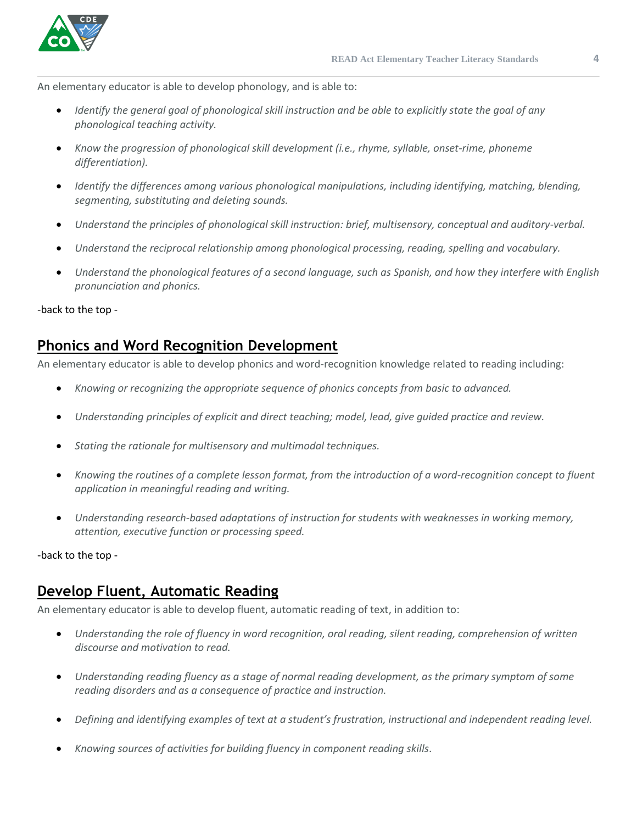

An elementary educator is able to develop phonology, and is able to:

- *Identify the general goal of phonological skill instruction and be able to explicitly state the goal of any phonological teaching activity.*
- *Know the progression of phonological skill development (i.e., rhyme, syllable, onset-rime, phoneme differentiation).*
- *Identify the differences among various phonological manipulations, including identifying, matching, blending, segmenting, substituting and deleting sounds.*
- *Understand the principles of phonological skill instruction: brief, multisensory, conceptual and auditory-verbal.*
- *Understand the reciprocal relationship among phonological processing, reading, spelling and vocabulary.*
- *Understand the phonological features of a second language, such as Spanish, and how they interfere with English pronunciation and phonics.*

-back to the top -

### **Phonics and Word Recognition Development**

An elementary educator is able to develop phonics and word-recognition knowledge related to reading including:

- *Knowing or recognizing the appropriate sequence of phonics concepts from basic to advanced.*
- *Understanding principles of explicit and direct teaching; model, lead, give guided practice and review.*
- *Stating the rationale for multisensory and multimodal techniques.*
- *Knowing the routines of a complete lesson format, from the introduction of a word-recognition concept to fluent application in meaningful reading and writing.*
- *Understanding research-based adaptations of instruction for students with weaknesses in working memory, attention, executive function or processing speed.*

-back to the top -

## **Develop Fluent, Automatic Reading**

An elementary educator is able to develop fluent, automatic reading of text, in addition to:

- *Understanding the role of fluency in word recognition, oral reading, silent reading, comprehension of written discourse and motivation to read.*
- *Understanding reading fluency as a stage of normal reading development, as the primary symptom of some reading disorders and as a consequence of practice and instruction.*
- *Defining and identifying examples of text at a student's frustration, instructional and independent reading level.*
- *Knowing sources of activities for building fluency in component reading skills*.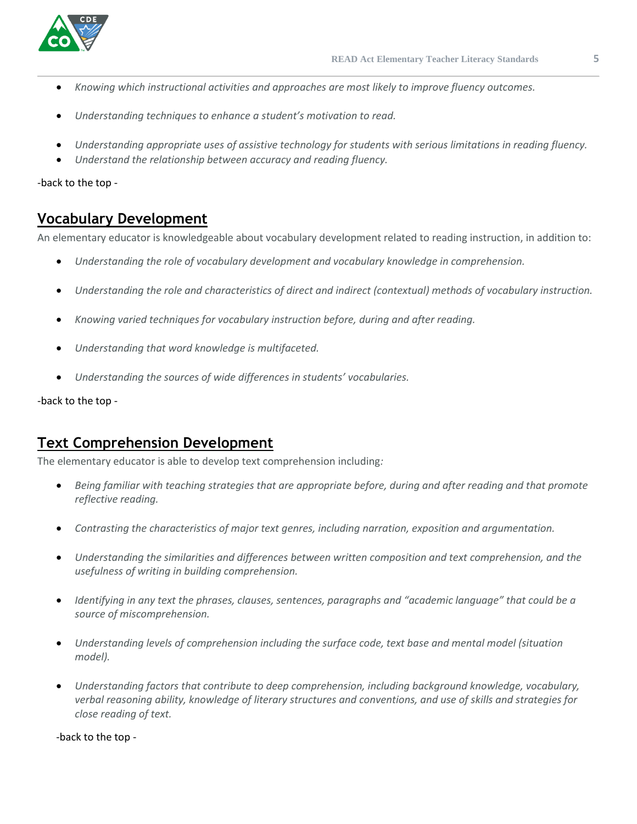

- *Knowing which instructional activities and approaches are most likely to improve fluency outcomes.*
- *Understanding techniques to enhance a student's motivation to read.*
- *Understanding appropriate uses of assistive technology for students with serious limitations in reading fluency.*
- *Understand the relationship between accuracy and reading fluency.*

-back to the top -

#### **Vocabulary Development**

An elementary educator is knowledgeable about vocabulary development related to reading instruction, in addition to:

- *Understanding the role of vocabulary development and vocabulary knowledge in comprehension.*
- *Understanding the role and characteristics of direct and indirect (contextual) methods of vocabulary instruction.*
- *Knowing varied techniques for vocabulary instruction before, during and after reading.*
- *Understanding that word knowledge is multifaceted.*
- *Understanding the sources of wide differences in students' vocabularies.*

-back to the top -

### **Text Comprehension Development**

The elementary educator is able to develop text comprehension including*:*

- *Being familiar with teaching strategies that are appropriate before, during and after reading and that promote reflective reading.*
- *Contrasting the characteristics of major text genres, including narration, exposition and argumentation.*
- *Understanding the similarities and differences between written composition and text comprehension, and the usefulness of writing in building comprehension.*
- *Identifying in any text the phrases, clauses, sentences, paragraphs and "academic language" that could be a source of miscomprehension.*
- *Understanding levels of comprehension including the surface code, text base and mental model (situation model).*
- *Understanding factors that contribute to deep comprehension, including background knowledge, vocabulary, verbal reasoning ability, knowledge of literary structures and conventions, and use of skills and strategies for close reading of text.*

-back to the top -